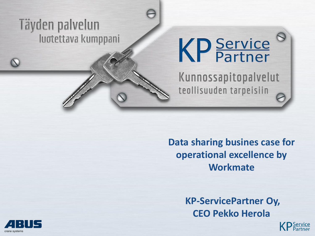# Täyden palvelun luotettava kumppani

# **KP** Service

Kunnossapitopalvelut teollisuuden tarpeisiin

**Data sharing busines case for operational excellence by Workmate**

> **KP-ServicePartner Oy, CEO Pekko Herola**



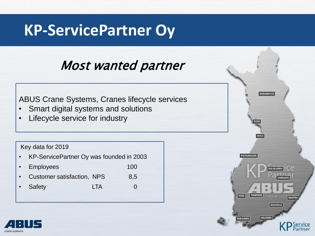# **KP-ServicePartner Oy**

# Most wanted partner

ABUS Crane Systems, Cranes lifecycle services

- Smart digital systems and solutions
- Lifecycle service for industry

#### Key data for 2019

- KP-ServicePartner Oy was founded in 2003
- Employees 100
- Customer satisfaction, NPS 8,5
- Safety **LTA** 0



**SODANKYLÄ** 

**KEMI** 

**OULU** 

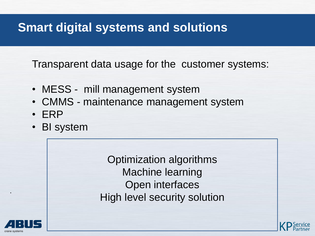#### art digital systems and solutions **the control of the control of the control Smart digital systems and solutions**

Transparent data usage for the customer systems:

- MESS mill management system
- CMMS maintenance management system
- ERP
- BI system

Optimization algorithms Machine learning Open interfaces High level security solution



.

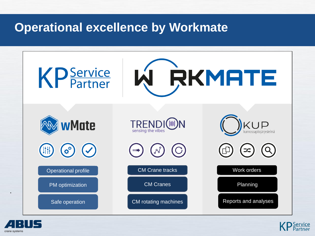



.

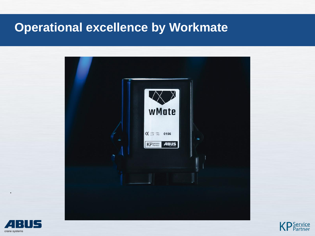



.

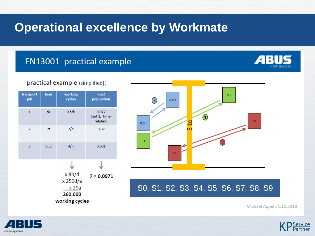#### EN13001 practical example







Michael Appel 31.10.2018